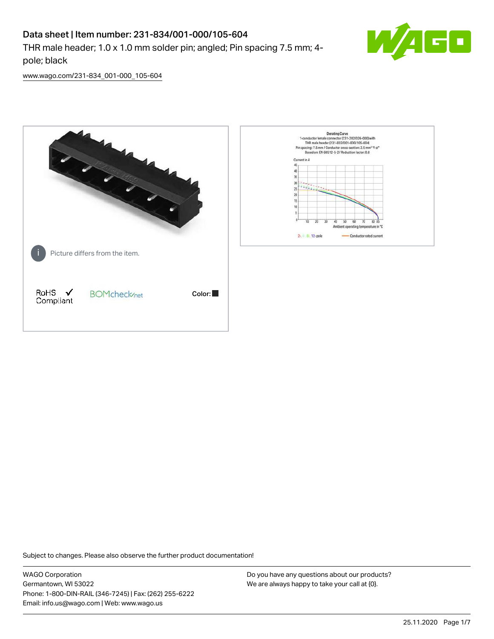# Data sheet | Item number: 231-834/001-000/105-604

THR male header; 1.0 x 1.0 mm solder pin; angled; Pin spacing 7.5 mm; 4 pole; black



[www.wago.com/231-834\\_001-000\\_105-604](http://www.wago.com/231-834_001-000_105-604)



Subject to changes. Please also observe the further product documentation!

WAGO Corporation Germantown, WI 53022 Phone: 1-800-DIN-RAIL (346-7245) | Fax: (262) 255-6222 Email: info.us@wago.com | Web: www.wago.us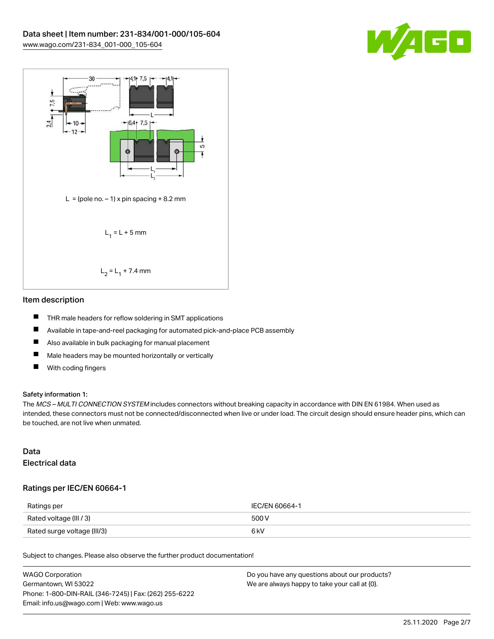



#### Item description

- $\blacksquare$ THR male headers for reflow soldering in SMT applications
- $\blacksquare$ Available in tape-and-reel packaging for automated pick-and-place PCB assembly
- $\qquad \qquad \blacksquare$ Also available in bulk packaging for manual placement
- $\blacksquare$ Male headers may be mounted horizontally or vertically
- $\blacksquare$ With coding fingers

#### Safety information 1:

The MCS - MULTI CONNECTION SYSTEM includes connectors without breaking capacity in accordance with DIN EN 61984. When used as intended, these connectors must not be connected/disconnected when live or under load. The circuit design should ensure header pins, which can be touched, are not live when unmated.

### Data Electrical data

#### Ratings per IEC/EN 60664-1

| Ratings per                 | IEC/EN 60664-1 |
|-----------------------------|----------------|
| Rated voltage (III / 3)     | 500 V          |
| Rated surge voltage (III/3) | 6 kV           |

Subject to changes. Please also observe the further product documentation!

| WAGO Corporation                                       | Do you have any questions about our products? |
|--------------------------------------------------------|-----------------------------------------------|
| Germantown. WI 53022                                   | We are always happy to take your call at {0}. |
| Phone: 1-800-DIN-RAIL (346-7245)   Fax: (262) 255-6222 |                                               |
| Email: info.us@wago.com   Web: www.wago.us             |                                               |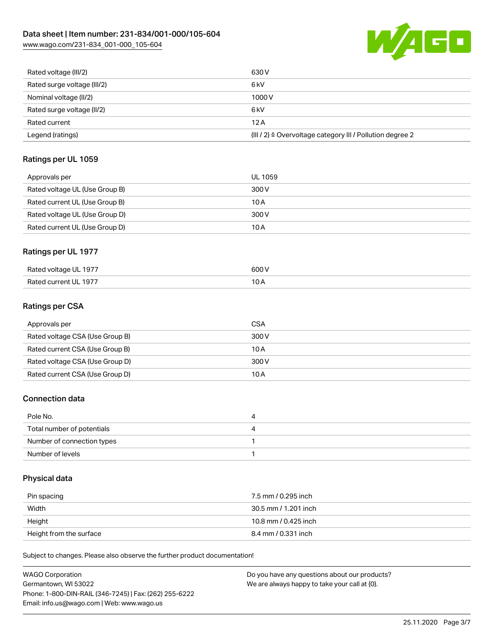W/AGO

|--|

| Rated voltage (III/2)       | 630 V                                                                |
|-----------------------------|----------------------------------------------------------------------|
| Rated surge voltage (III/2) | 6 <sub>k</sub> V                                                     |
| Nominal voltage (II/2)      | 1000V                                                                |
| Rated surge voltage (II/2)  | 6 <sub>k</sub> V                                                     |
| Rated current               | 12A                                                                  |
| Legend (ratings)            | (III / 2) $\triangleq$ Overvoltage category III / Pollution degree 2 |

# Ratings per UL 1059

| Approvals per                  | UL 1059 |
|--------------------------------|---------|
| Rated voltage UL (Use Group B) | 300 V   |
| Rated current UL (Use Group B) | 10 A    |
| Rated voltage UL (Use Group D) | 300 V   |
| Rated current UL (Use Group D) | 10 A    |

#### Ratings per UL 1977

| UL 1977<br>Rated vull<br>⊶⊓ volte⊂<br>__ _ _ _ | .00 /<br>. |
|------------------------------------------------|------------|
| Rate<br>197.                                   | $\sim$     |

# Ratings per CSA

| Approvals per                   | CSA   |
|---------------------------------|-------|
| Rated voltage CSA (Use Group B) | 300 V |
| Rated current CSA (Use Group B) | 10 A  |
| Rated voltage CSA (Use Group D) | 300 V |
| Rated current CSA (Use Group D) | 10 A  |

#### Connection data

| Pole No.                   | 4 |
|----------------------------|---|
| Total number of potentials | 4 |
| Number of connection types |   |
| Number of levels           |   |

#### Physical data

| Pin spacing             | 7.5 mm / 0.295 inch  |
|-------------------------|----------------------|
| Width                   | 30.5 mm / 1.201 inch |
| Height                  | 10.8 mm / 0.425 inch |
| Height from the surface | 8.4 mm / 0.331 inch  |

Subject to changes. Please also observe the further product documentation!

| WAGO Corporation                                       | Do you have any questions about our products? |
|--------------------------------------------------------|-----------------------------------------------|
|                                                        |                                               |
| Germantown. WI 53022                                   | We are always happy to take your call at {0}. |
| Phone: 1-800-DIN-RAIL (346-7245)   Fax: (262) 255-6222 |                                               |
| Email: info.us@wago.com   Web: www.wago.us             |                                               |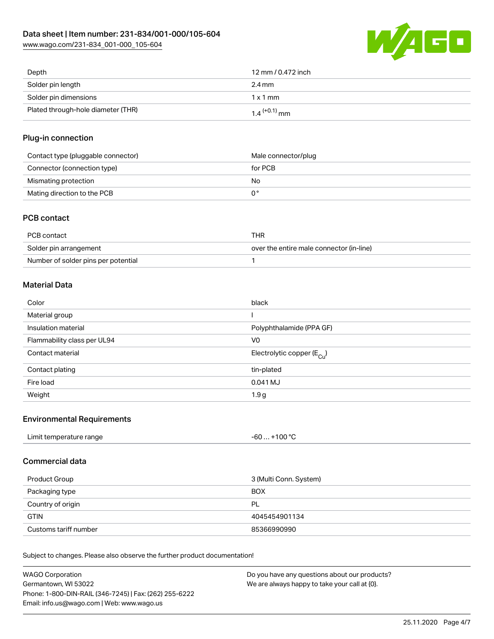[www.wago.com/231-834\\_001-000\\_105-604](http://www.wago.com/231-834_001-000_105-604)



| Depth                              | 12 mm / 0.472 inch         |
|------------------------------------|----------------------------|
| Solder pin length                  | 2.4 mm                     |
| Solder pin dimensions              | 1x1mm                      |
| Plated through-hole diameter (THR) | $1.4$ <sup>(+0.1)</sup> mm |

#### Plug-in connection

| Contact type (pluggable connector) | Male connector/plug |
|------------------------------------|---------------------|
| Connector (connection type)        | for PCB             |
| Mismating protection               | No                  |
| Mating direction to the PCB        |                     |

### PCB contact

| PCB contact                         | THR                                      |
|-------------------------------------|------------------------------------------|
| Solder pin arrangement              | over the entire male connector (in-line) |
| Number of solder pins per potential |                                          |

# Material Data

| Color                       | black                                 |
|-----------------------------|---------------------------------------|
| Material group              |                                       |
| Insulation material         | Polyphthalamide (PPA GF)              |
| Flammability class per UL94 | V0                                    |
| Contact material            | Electrolytic copper $(E_{\text{Cl}})$ |
| Contact plating             | tin-plated                            |
| Fire load                   | 0.041 MJ                              |
| Weight                      | 1.9 <sub>g</sub>                      |

#### Environmental Requirements

| Limit temperature range | $. +100 °C$<br>-60 |  |
|-------------------------|--------------------|--|
|                         |                    |  |

### Commercial data

| Product Group         | 3 (Multi Conn. System) |
|-----------------------|------------------------|
| Packaging type        | <b>BOX</b>             |
| Country of origin     | PL                     |
| <b>GTIN</b>           | 4045454901134          |
| Customs tariff number | 85366990990            |

Subject to changes. Please also observe the further product documentation!

| WAGO Corporation                                       | Do you have any questions about our products? |
|--------------------------------------------------------|-----------------------------------------------|
| Germantown, WI 53022                                   | We are always happy to take your call at {0}. |
| Phone: 1-800-DIN-RAIL (346-7245)   Fax: (262) 255-6222 |                                               |
| Email: info.us@wago.com   Web: www.wago.us             |                                               |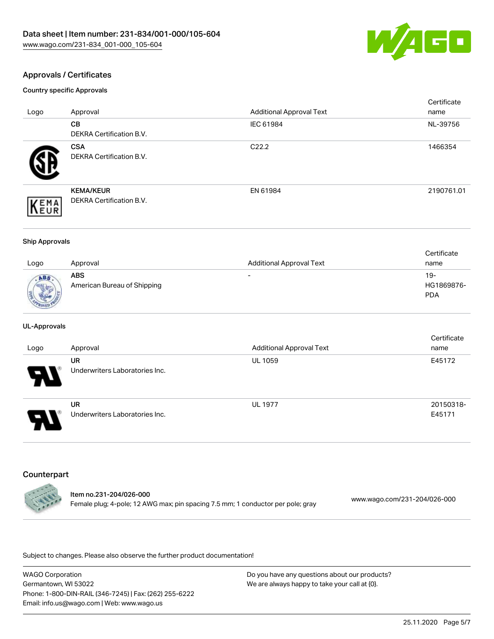

### Approvals / Certificates

Country specific Approvals

| Logo               | Approval                                            | <b>Additional Approval Text</b> | Certificate<br>name |
|--------------------|-----------------------------------------------------|---------------------------------|---------------------|
|                    | CВ<br><b>DEKRA Certification B.V.</b>               | IEC 61984                       | NL-39756            |
|                    | <b>CSA</b><br><b>DEKRA Certification B.V.</b>       | C <sub>22.2</sub>               | 1466354             |
| EMA<br><b>NEUR</b> | <b>KEMA/KEUR</b><br><b>DEKRA Certification B.V.</b> | EN 61984                        | 2190761.01          |

#### Ship Approvals

|              |                             |                                 | Certificate |
|--------------|-----------------------------|---------------------------------|-------------|
| Logo         | Approval                    | <b>Additional Approval Text</b> | name        |
| ABS          | <b>ABS</b>                  | $\overline{\phantom{0}}$        | $19-$       |
| <b>Sight</b> | American Bureau of Shipping |                                 | HG1869876-  |
|              |                             |                                 | <b>PDA</b>  |
| PROV20       |                             |                                 |             |

#### UL-Approvals

| Logo | Approval                             | <b>Additional Approval Text</b> | Certificate<br>name |
|------|--------------------------------------|---------------------------------|---------------------|
| Ъ.   | UR<br>Underwriters Laboratories Inc. | <b>UL 1059</b>                  | E45172              |
| J    | UR<br>Underwriters Laboratories Inc. | <b>UL 1977</b>                  | 20150318-<br>E45171 |

#### Counterpart

 $\mathbf{r}$ 



Subject to changes. Please also observe the further product documentation!

WAGO Corporation Germantown, WI 53022 Phone: 1-800-DIN-RAIL (346-7245) | Fax: (262) 255-6222 Email: info.us@wago.com | Web: www.wago.us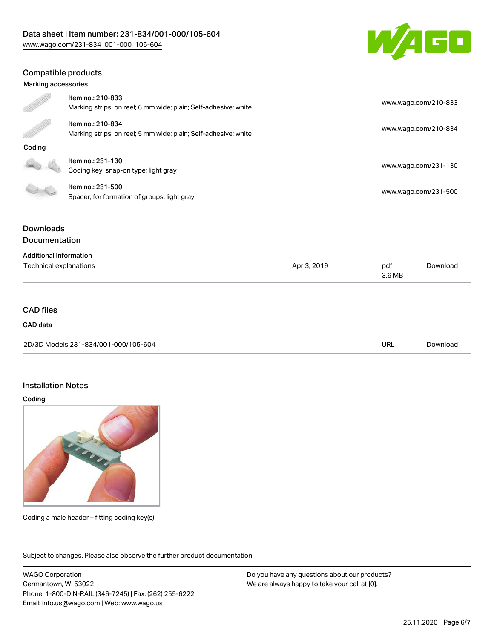

#### Compatible products

#### Marking accessories

|                               | Item no.: 210-833                                               |             |                      |                      |
|-------------------------------|-----------------------------------------------------------------|-------------|----------------------|----------------------|
|                               | Marking strips; on reel; 6 mm wide; plain; Self-adhesive; white |             |                      | www.wago.com/210-833 |
|                               | Item no.: 210-834                                               |             |                      |                      |
|                               | Marking strips; on reel; 5 mm wide; plain; Self-adhesive; white |             | www.wago.com/210-834 |                      |
| Coding                        |                                                                 |             |                      |                      |
|                               | Item no.: 231-130                                               |             |                      |                      |
|                               | Coding key; snap-on type; light gray                            |             |                      | www.wago.com/231-130 |
|                               | Item no.: 231-500                                               |             |                      |                      |
|                               | Spacer; for formation of groups; light gray                     |             |                      | www.wago.com/231-500 |
| <b>Downloads</b>              |                                                                 |             |                      |                      |
| <b>Documentation</b>          |                                                                 |             |                      |                      |
| <b>Additional Information</b> |                                                                 |             |                      |                      |
| Technical explanations        |                                                                 | Apr 3, 2019 | pdf                  | Download             |
|                               |                                                                 | 3.6 MB      |                      |                      |

#### CAD files

### CAD data

| 2D/3D Models 231-834/001-000/105-604 | URL | Download |
|--------------------------------------|-----|----------|
|                                      |     |          |

#### Installation Notes

Coding



Coding a male header – fitting coding key(s).

Subject to changes. Please also observe the further product documentation! Product family

WAGO Corporation Germantown, WI 53022 Phone: 1-800-DIN-RAIL (346-7245) | Fax: (262) 255-6222 Email: info.us@wago.com | Web: www.wago.us